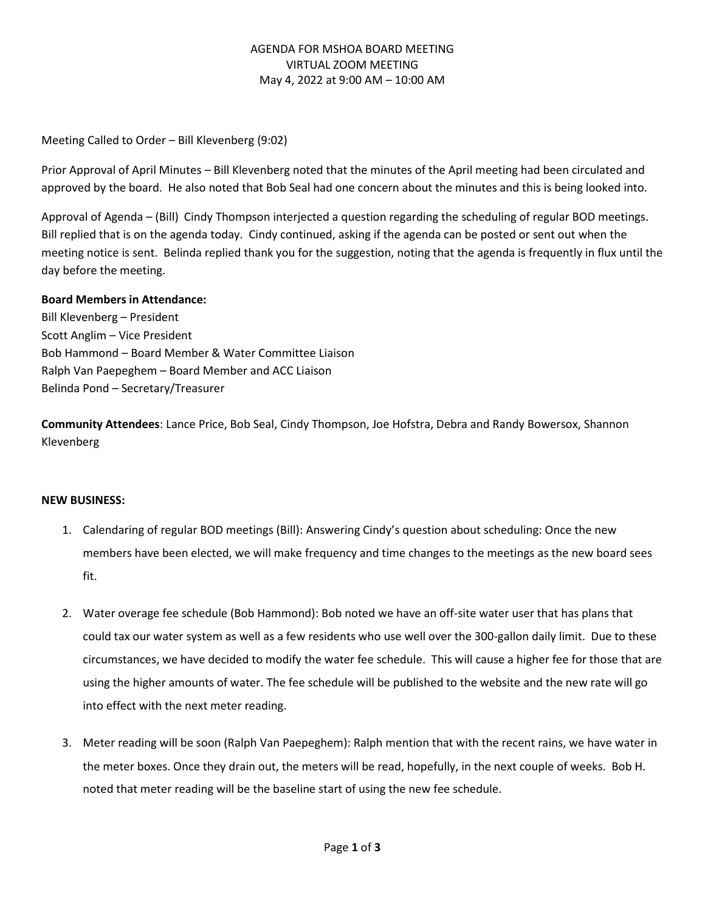# AGENDA FOR MSHOA BOARD MEETING VIRTUAL ZOOM MEETING May 4, 2022 at 9:00 AM – 10:00 AM

Meeting Called to Order – Bill Klevenberg (9:02)

Prior Approval of April Minutes – Bill Klevenberg noted that the minutes of the April meeting had been circulated and approved by the board. He also noted that Bob Seal had one concern about the minutes and this is being looked into.

Approval of Agenda – (Bill) Cindy Thompson interjected a question regarding the scheduling of regular BOD meetings. Bill replied that is on the agenda today. Cindy continued, asking if the agenda can be posted or sent out when the meeting notice is sent. Belinda replied thank you for the suggestion, noting that the agenda is frequently in flux until the day before the meeting.

## **Board Members in Attendance:**

Bill Klevenberg – President Scott Anglim – Vice President Bob Hammond – Board Member & Water Committee Liaison Ralph Van Paepeghem – Board Member and ACC Liaison Belinda Pond – Secretary/Treasurer

**Community Attendees**: Lance Price, Bob Seal, Cindy Thompson, Joe Hofstra, Debra and Randy Bowersox, Shannon Klevenberg

### **NEW BUSINESS:**

- 1. Calendaring of regular BOD meetings (Bill): Answering Cindy's question about scheduling: Once the new members have been elected, we will make frequency and time changes to the meetings as the new board sees fit.
- 2. Water overage fee schedule (Bob Hammond): Bob noted we have an off-site water user that has plans that could tax our water system as well as a few residents who use well over the 300-gallon daily limit. Due to these circumstances, we have decided to modify the water fee schedule. This will cause a higher fee for those that are using the higher amounts of water. The fee schedule will be published to the website and the new rate will go into effect with the next meter reading.
- 3. Meter reading will be soon (Ralph Van Paepeghem): Ralph mention that with the recent rains, we have water in the meter boxes. Once they drain out, the meters will be read, hopefully, in the next couple of weeks. Bob H. noted that meter reading will be the baseline start of using the new fee schedule.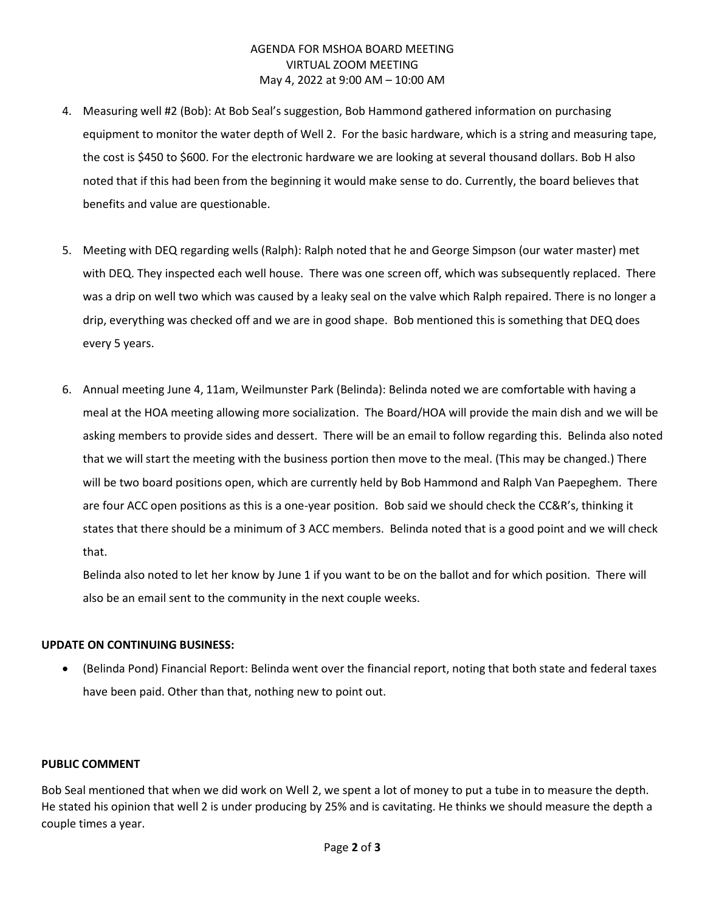## AGENDA FOR MSHOA BOARD MEETING VIRTUAL ZOOM MEETING May 4, 2022 at 9:00 AM – 10:00 AM

- 4. Measuring well #2 (Bob): At Bob Seal's suggestion, Bob Hammond gathered information on purchasing equipment to monitor the water depth of Well 2. For the basic hardware, which is a string and measuring tape, the cost is \$450 to \$600. For the electronic hardware we are looking at several thousand dollars. Bob H also noted that if this had been from the beginning it would make sense to do. Currently, the board believes that benefits and value are questionable.
- 5. Meeting with DEQ regarding wells (Ralph): Ralph noted that he and George Simpson (our water master) met with DEQ. They inspected each well house. There was one screen off, which was subsequently replaced. There was a drip on well two which was caused by a leaky seal on the valve which Ralph repaired. There is no longer a drip, everything was checked off and we are in good shape. Bob mentioned this is something that DEQ does every 5 years.
- 6. Annual meeting June 4, 11am, Weilmunster Park (Belinda): Belinda noted we are comfortable with having a meal at the HOA meeting allowing more socialization. The Board/HOA will provide the main dish and we will be asking members to provide sides and dessert. There will be an email to follow regarding this. Belinda also noted that we will start the meeting with the business portion then move to the meal. (This may be changed.) There will be two board positions open, which are currently held by Bob Hammond and Ralph Van Paepeghem. There are four ACC open positions as this is a one-year position. Bob said we should check the CC&R's, thinking it states that there should be a minimum of 3 ACC members. Belinda noted that is a good point and we will check that.

Belinda also noted to let her know by June 1 if you want to be on the ballot and for which position. There will also be an email sent to the community in the next couple weeks.

### **UPDATE ON CONTINUING BUSINESS:**

• (Belinda Pond) Financial Report: Belinda went over the financial report, noting that both state and federal taxes have been paid. Other than that, nothing new to point out.

### **PUBLIC COMMENT**

Bob Seal mentioned that when we did work on Well 2, we spent a lot of money to put a tube in to measure the depth. He stated his opinion that well 2 is under producing by 25% and is cavitating. He thinks we should measure the depth a couple times a year.